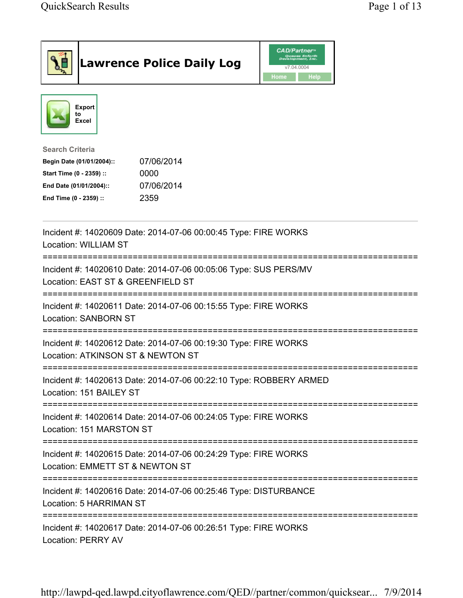| <b>Lawrence Police Daily Log</b>                                                                                                                                                 | <b>CAD/Partner</b> "<br>Queues Enforth<br>Development, Inc.<br>v7.04.0004<br>Home<br>Help |
|----------------------------------------------------------------------------------------------------------------------------------------------------------------------------------|-------------------------------------------------------------------------------------------|
| <b>Export</b><br>to<br>Excel                                                                                                                                                     |                                                                                           |
| <b>Search Criteria</b><br>07/06/2014<br>Begin Date (01/01/2004)::<br>Start Time (0 - 2359) ::<br>0000<br>07/06/2014<br>End Date (01/01/2004)::<br>End Time (0 - 2359) ::<br>2359 |                                                                                           |
| Incident #: 14020609 Date: 2014-07-06 00:00:45 Type: FIRE WORKS<br><b>Location: WILLIAM ST</b>                                                                                   |                                                                                           |
| Incident #: 14020610 Date: 2014-07-06 00:05:06 Type: SUS PERS/MV<br>Location: EAST ST & GREENFIELD ST                                                                            |                                                                                           |
| Incident #: 14020611 Date: 2014-07-06 00:15:55 Type: FIRE WORKS<br><b>Location: SANBORN ST</b>                                                                                   |                                                                                           |
| Incident #: 14020612 Date: 2014-07-06 00:19:30 Type: FIRE WORKS<br>Location: ATKINSON ST & NEWTON ST                                                                             |                                                                                           |
| Incident #: 14020613 Date: 2014-07-06 00:22:10 Type: ROBBERY ARMED<br>Location: 151 BAILEY ST                                                                                    |                                                                                           |
| Incident #: 14020614 Date: 2014-07-06 00:24:05 Type: FIRE WORKS<br>Location: 151 MARSTON ST                                                                                      |                                                                                           |
| Incident #: 14020615 Date: 2014-07-06 00:24:29 Type: FIRE WORKS<br>Location: EMMETT ST & NEWTON ST                                                                               |                                                                                           |
| Incident #: 14020616 Date: 2014-07-06 00:25:46 Type: DISTURBANCE<br>Location: 5 HARRIMAN ST                                                                                      |                                                                                           |
| ===================================<br>Incident #: 14020617 Date: 2014-07-06 00:26:51 Type: FIRE WORKS<br><b>Location: PERRY AV</b>                                              |                                                                                           |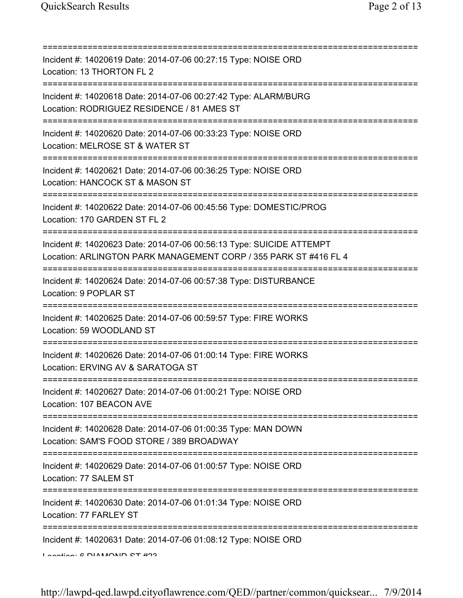| Incident #: 14020619 Date: 2014-07-06 00:27:15 Type: NOISE ORD<br>Location: 13 THORTON FL 2                                              |
|------------------------------------------------------------------------------------------------------------------------------------------|
| Incident #: 14020618 Date: 2014-07-06 00:27:42 Type: ALARM/BURG<br>Location: RODRIGUEZ RESIDENCE / 81 AMES ST                            |
| Incident #: 14020620 Date: 2014-07-06 00:33:23 Type: NOISE ORD<br>Location: MELROSE ST & WATER ST<br>===========================         |
| Incident #: 14020621 Date: 2014-07-06 00:36:25 Type: NOISE ORD<br>Location: HANCOCK ST & MASON ST                                        |
| Incident #: 14020622 Date: 2014-07-06 00:45:56 Type: DOMESTIC/PROG<br>Location: 170 GARDEN ST FL 2                                       |
| Incident #: 14020623 Date: 2014-07-06 00:56:13 Type: SUICIDE ATTEMPT<br>Location: ARLINGTON PARK MANAGEMENT CORP / 355 PARK ST #416 FL 4 |
| Incident #: 14020624 Date: 2014-07-06 00:57:38 Type: DISTURBANCE<br>Location: 9 POPLAR ST                                                |
| Incident #: 14020625 Date: 2014-07-06 00:59:57 Type: FIRE WORKS<br>Location: 59 WOODLAND ST                                              |
| Incident #: 14020626 Date: 2014-07-06 01:00:14 Type: FIRE WORKS<br>Location: ERVING AV & SARATOGA ST                                     |
| Incident #: 14020627 Date: 2014-07-06 01:00:21 Type: NOISE ORD<br>Location: 107 BEACON AVE                                               |
| Incident #: 14020628 Date: 2014-07-06 01:00:35 Type: MAN DOWN<br>Location: SAM'S FOOD STORE / 389 BROADWAY                               |
| Incident #: 14020629 Date: 2014-07-06 01:00:57 Type: NOISE ORD<br>Location: 77 SALEM ST                                                  |
| Incident #: 14020630 Date: 2014-07-06 01:01:34 Type: NOISE ORD<br>Location: 77 FARLEY ST                                                 |
| Incident #: 14020631 Date: 2014-07-06 01:08:12 Type: NOISE ORD<br>$I$ and $I$ and $I$ $\Omega$ DIAMONID OT $\#$                          |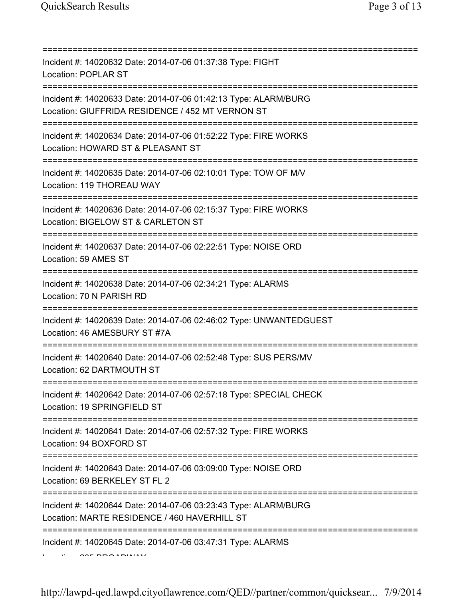| Incident #: 14020632 Date: 2014-07-06 01:37:38 Type: FIGHT<br><b>Location: POPLAR ST</b><br>====================================                            |
|-------------------------------------------------------------------------------------------------------------------------------------------------------------|
| Incident #: 14020633 Date: 2014-07-06 01:42:13 Type: ALARM/BURG<br>Location: GIUFFRIDA RESIDENCE / 452 MT VERNON ST<br>-=================================== |
| Incident #: 14020634 Date: 2014-07-06 01:52:22 Type: FIRE WORKS<br>Location: HOWARD ST & PLEASANT ST                                                        |
| Incident #: 14020635 Date: 2014-07-06 02:10:01 Type: TOW OF M/V<br>Location: 119 THOREAU WAY                                                                |
| Incident #: 14020636 Date: 2014-07-06 02:15:37 Type: FIRE WORKS<br>Location: BIGELOW ST & CARLETON ST                                                       |
| Incident #: 14020637 Date: 2014-07-06 02:22:51 Type: NOISE ORD<br>Location: 59 AMES ST                                                                      |
| Incident #: 14020638 Date: 2014-07-06 02:34:21 Type: ALARMS<br>Location: 70 N PARISH RD                                                                     |
| Incident #: 14020639 Date: 2014-07-06 02:46:02 Type: UNWANTEDGUEST<br>Location: 46 AMESBURY ST #7A                                                          |
| Incident #: 14020640 Date: 2014-07-06 02:52:48 Type: SUS PERS/MV<br>Location: 62 DARTMOUTH ST                                                               |
| Incident #: 14020642 Date: 2014-07-06 02:57:18 Type: SPECIAL CHECK<br>Location: 19 SPRINGFIELD ST                                                           |
| Incident #: 14020641 Date: 2014-07-06 02:57:32 Type: FIRE WORKS<br>Location: 94 BOXFORD ST                                                                  |
| Incident #: 14020643 Date: 2014-07-06 03:09:00 Type: NOISE ORD<br>Location: 69 BERKELEY ST FL 2                                                             |
| Incident #: 14020644 Date: 2014-07-06 03:23:43 Type: ALARM/BURG<br>Location: MARTE RESIDENCE / 460 HAVERHILL ST                                             |
| Incident #: 14020645 Date: 2014-07-06 03:47:31 Type: ALARMS                                                                                                 |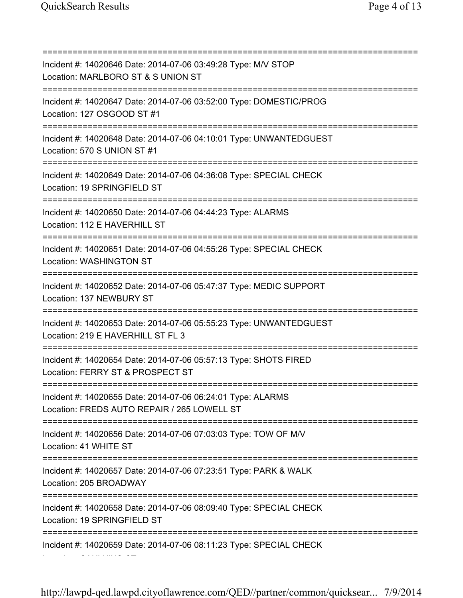Location: CAULKINS CT

=========================================================================== Incident #: 14020646 Date: 2014-07-06 03:49:28 Type: M/V STOP Location: MARLBORO ST & S UNION ST =========================================================================== Incident #: 14020647 Date: 2014-07-06 03:52:00 Type: DOMESTIC/PROG Location: 127 OSGOOD ST #1 =========================================================================== Incident #: 14020648 Date: 2014-07-06 04:10:01 Type: UNWANTEDGUEST Location: 570 S UNION ST #1 =========================================================================== Incident #: 14020649 Date: 2014-07-06 04:36:08 Type: SPECIAL CHECK Location: 19 SPRINGFIELD ST =========================================================================== Incident #: 14020650 Date: 2014-07-06 04:44:23 Type: ALARMS Location: 112 E HAVERHILL ST =========================================================================== Incident #: 14020651 Date: 2014-07-06 04:55:26 Type: SPECIAL CHECK Location: WASHINGTON ST =========================================================================== Incident #: 14020652 Date: 2014-07-06 05:47:37 Type: MEDIC SUPPORT Location: 137 NEWBURY ST =========================================================================== Incident #: 14020653 Date: 2014-07-06 05:55:23 Type: UNWANTEDGUEST Location: 219 E HAVERHILL ST FL 3 =========================================================================== Incident #: 14020654 Date: 2014-07-06 05:57:13 Type: SHOTS FIRED Location: FERRY ST & PROSPECT ST =========================================================================== Incident #: 14020655 Date: 2014-07-06 06:24:01 Type: ALARMS Location: FREDS AUTO REPAIR / 265 LOWELL ST =========================================================================== Incident #: 14020656 Date: 2014-07-06 07:03:03 Type: TOW OF M/V Location: 41 WHITE ST =========================================================================== Incident #: 14020657 Date: 2014-07-06 07:23:51 Type: PARK & WALK Location: 205 BROADWAY =========================================================================== Incident #: 14020658 Date: 2014-07-06 08:09:40 Type: SPECIAL CHECK Location: 19 SPRINGFIELD ST =========================================================================== Incident #: 14020659 Date: 2014-07-06 08:11:23 Type: SPECIAL CHECK

http://lawpd-qed.lawpd.cityoflawrence.com/QED//partner/common/quicksear... 7/9/2014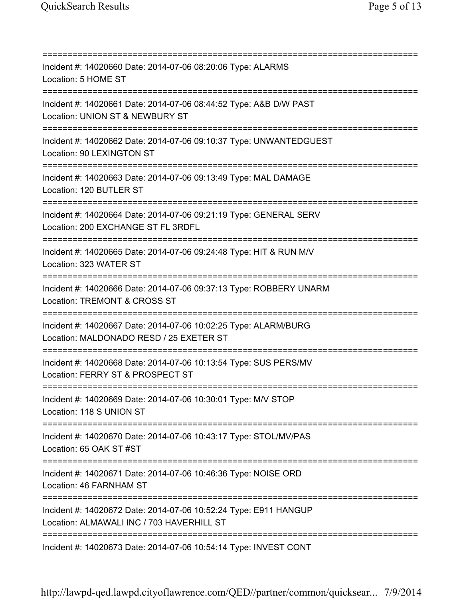=========================================================================== Incident #: 14020660 Date: 2014-07-06 08:20:06 Type: ALARMS Location: 5 HOME ST =========================================================================== Incident #: 14020661 Date: 2014-07-06 08:44:52 Type: A&B D/W PAST Location: UNION ST & NEWBURY ST =========================================================================== Incident #: 14020662 Date: 2014-07-06 09:10:37 Type: UNWANTEDGUEST Location: 90 LEXINGTON ST =========================================================================== Incident #: 14020663 Date: 2014-07-06 09:13:49 Type: MAL DAMAGE Location: 120 BUTLER ST =========================================================================== Incident #: 14020664 Date: 2014-07-06 09:21:19 Type: GENERAL SERV Location: 200 EXCHANGE ST FL 3RDFL =========================================================================== Incident #: 14020665 Date: 2014-07-06 09:24:48 Type: HIT & RUN M/V Location: 323 WATER ST =========================================================================== Incident #: 14020666 Date: 2014-07-06 09:37:13 Type: ROBBERY UNARM Location: TREMONT & CROSS ST =========================================================================== Incident #: 14020667 Date: 2014-07-06 10:02:25 Type: ALARM/BURG Location: MALDONADO RESD / 25 EXETER ST =========================================================================== Incident #: 14020668 Date: 2014-07-06 10:13:54 Type: SUS PERS/MV Location: FERRY ST & PROSPECT ST =========================================================================== Incident #: 14020669 Date: 2014-07-06 10:30:01 Type: M/V STOP Location: 118 S UNION ST =========================================================================== Incident #: 14020670 Date: 2014-07-06 10:43:17 Type: STOL/MV/PAS Location: 65 OAK ST #ST =========================================================================== Incident #: 14020671 Date: 2014-07-06 10:46:36 Type: NOISE ORD Location: 46 FARNHAM ST =========================================================================== Incident #: 14020672 Date: 2014-07-06 10:52:24 Type: E911 HANGUP Location: ALMAWALI INC / 703 HAVERHILL ST =========================================================================== Incident #: 14020673 Date: 2014-07-06 10:54:14 Type: INVEST CONT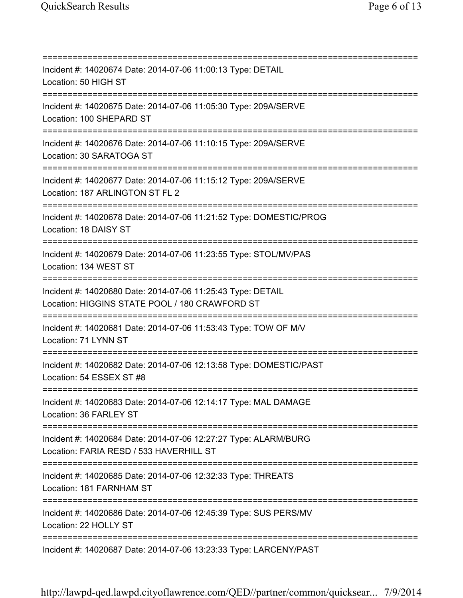| Incident #: 14020674 Date: 2014-07-06 11:00:13 Type: DETAIL<br>Location: 50 HIGH ST<br>================================                           |
|---------------------------------------------------------------------------------------------------------------------------------------------------|
| Incident #: 14020675 Date: 2014-07-06 11:05:30 Type: 209A/SERVE<br>Location: 100 SHEPARD ST<br>=================================                  |
| Incident #: 14020676 Date: 2014-07-06 11:10:15 Type: 209A/SERVE<br>Location: 30 SARATOGA ST                                                       |
| Incident #: 14020677 Date: 2014-07-06 11:15:12 Type: 209A/SERVE<br>Location: 187 ARLINGTON ST FL 2                                                |
| Incident #: 14020678 Date: 2014-07-06 11:21:52 Type: DOMESTIC/PROG<br>Location: 18 DAISY ST                                                       |
| Incident #: 14020679 Date: 2014-07-06 11:23:55 Type: STOL/MV/PAS<br>Location: 134 WEST ST                                                         |
| Incident #: 14020680 Date: 2014-07-06 11:25:43 Type: DETAIL<br>Location: HIGGINS STATE POOL / 180 CRAWFORD ST                                     |
| Incident #: 14020681 Date: 2014-07-06 11:53:43 Type: TOW OF M/V<br>Location: 71 LYNN ST                                                           |
| Incident #: 14020682 Date: 2014-07-06 12:13:58 Type: DOMESTIC/PAST<br>Location: 54 ESSEX ST #8                                                    |
| Incident #: 14020683 Date: 2014-07-06 12:14:17 Type: MAL DAMAGE<br>Location: 36 FARLEY ST                                                         |
| ;==================================<br>Incident #: 14020684 Date: 2014-07-06 12:27:27 Type: ALARM/BURG<br>Location: FARIA RESD / 533 HAVERHILL ST |
| Incident #: 14020685 Date: 2014-07-06 12:32:33 Type: THREATS<br>Location: 181 FARNHAM ST                                                          |
| Incident #: 14020686 Date: 2014-07-06 12:45:39 Type: SUS PERS/MV<br>Location: 22 HOLLY ST                                                         |
| Incident #: 14020687 Date: 2014-07-06 13:23:33 Type: LARCENY/PAST                                                                                 |

http://lawpd-qed.lawpd.cityoflawrence.com/QED//partner/common/quicksear... 7/9/2014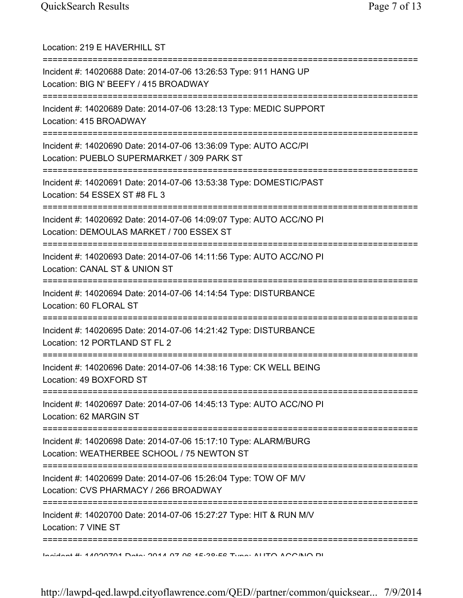| Location: 219 E HAVERHILL ST<br>==============================                                                                                          |
|---------------------------------------------------------------------------------------------------------------------------------------------------------|
| Incident #: 14020688 Date: 2014-07-06 13:26:53 Type: 911 HANG UP<br>Location: BIG N' BEEFY / 415 BROADWAY<br>:======================                    |
| Incident #: 14020689 Date: 2014-07-06 13:28:13 Type: MEDIC SUPPORT<br>Location: 415 BROADWAY<br>======================================                  |
| Incident #: 14020690 Date: 2014-07-06 13:36:09 Type: AUTO ACC/PI<br>Location: PUEBLO SUPERMARKET / 309 PARK ST<br>===================================== |
| Incident #: 14020691 Date: 2014-07-06 13:53:38 Type: DOMESTIC/PAST<br>Location: 54 ESSEX ST #8 FL 3                                                     |
| Incident #: 14020692 Date: 2014-07-06 14:09:07 Type: AUTO ACC/NO PI<br>Location: DEMOULAS MARKET / 700 ESSEX ST                                         |
| Incident #: 14020693 Date: 2014-07-06 14:11:56 Type: AUTO ACC/NO PI<br>Location: CANAL ST & UNION ST                                                    |
| Incident #: 14020694 Date: 2014-07-06 14:14:54 Type: DISTURBANCE<br>Location: 60 FLORAL ST                                                              |
| Incident #: 14020695 Date: 2014-07-06 14:21:42 Type: DISTURBANCE<br>Location: 12 PORTLAND ST FL 2                                                       |
| Incident #: 14020696 Date: 2014-07-06 14:38:16 Type: CK WELL BEING<br>Location: 49 BOXFORD ST                                                           |
| Incident #: 14020697 Date: 2014-07-06 14:45:13 Type: AUTO ACC/NO PI<br>Location: 62 MARGIN ST                                                           |
| Incident #: 14020698 Date: 2014-07-06 15:17:10 Type: ALARM/BURG<br>Location: WEATHERBEE SCHOOL / 75 NEWTON ST                                           |
| Incident #: 14020699 Date: 2014-07-06 15:26:04 Type: TOW OF M/V<br>Location: CVS PHARMACY / 266 BROADWAY                                                |
| Incident #: 14020700 Date: 2014-07-06 15:27:27 Type: HIT & RUN M/V<br>Location: 7 VINE ST                                                               |
| <u>Indident #: 47000704 Deta: 0047 07 06 45:00:56 Tune: ALITO ACC/NIO DI</u>                                                                            |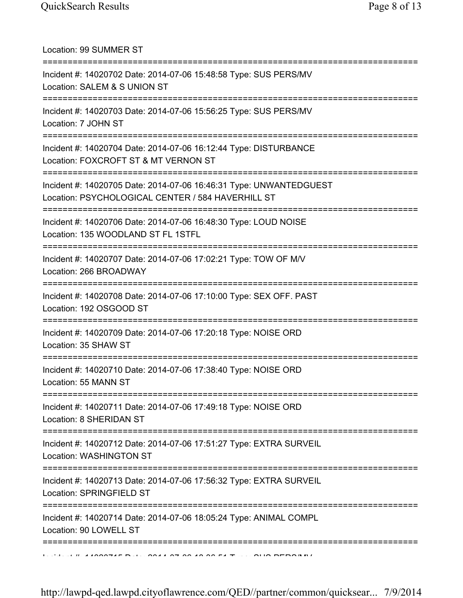Location: 99 SUMMER ST =========================================================================== Incident #: 14020702 Date: 2014-07-06 15:48:58 Type: SUS PERS/MV Location: SALEM & S UNION ST =========================================================================== Incident #: 14020703 Date: 2014-07-06 15:56:25 Type: SUS PERS/MV Location: 7 JOHN ST =========================================================================== Incident #: 14020704 Date: 2014-07-06 16:12:44 Type: DISTURBANCE Location: FOXCROFT ST & MT VERNON ST =========================================================================== Incident #: 14020705 Date: 2014-07-06 16:46:31 Type: UNWANTEDGUEST Location: PSYCHOLOGICAL CENTER / 584 HAVERHILL ST =========================================================================== Incident #: 14020706 Date: 2014-07-06 16:48:30 Type: LOUD NOISE Location: 135 WOODLAND ST FL 1STFL =========================================================================== Incident #: 14020707 Date: 2014-07-06 17:02:21 Type: TOW OF M/V Location: 266 BROADWAY =========================================================================== Incident #: 14020708 Date: 2014-07-06 17:10:00 Type: SEX OFF. PAST Location: 192 OSGOOD ST =========================================================================== Incident #: 14020709 Date: 2014-07-06 17:20:18 Type: NOISE ORD Location: 35 SHAW ST =========================================================================== Incident #: 14020710 Date: 2014-07-06 17:38:40 Type: NOISE ORD Location: 55 MANN ST =========================================================================== Incident #: 14020711 Date: 2014-07-06 17:49:18 Type: NOISE ORD Location: 8 SHERIDAN ST =========================================================================== Incident #: 14020712 Date: 2014-07-06 17:51:27 Type: EXTRA SURVEIL Location: WASHINGTON ST =========================================================================== Incident #: 14020713 Date: 2014-07-06 17:56:32 Type: EXTRA SURVEIL Location: SPRINGFIELD ST =========================================================================== Incident #: 14020714 Date: 2014-07-06 18:05:24 Type: ANIMAL COMPL Location: 90 LOWELL ST ===========================================================================  $\mathbf{1}^{10}$  A ACCORDED  $\mathbf{1}^{11}$  . 2014 07 06 10 06 19:36:51 Type: SUS PERS/MV

http://lawpd-qed.lawpd.cityoflawrence.com/QED//partner/common/quicksear... 7/9/2014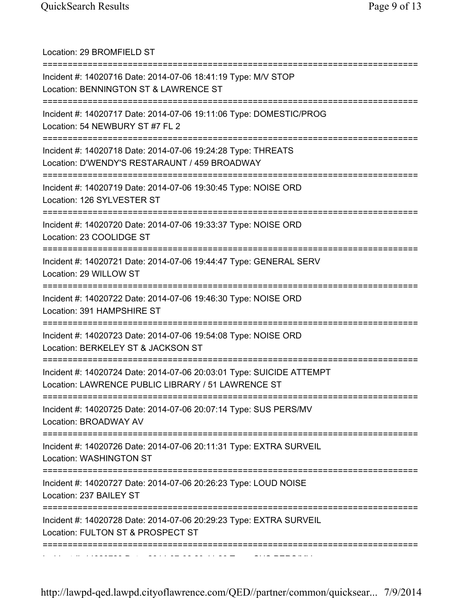| Location: 29 BROMFIELD ST                                                                                                  |
|----------------------------------------------------------------------------------------------------------------------------|
| Incident #: 14020716 Date: 2014-07-06 18:41:19 Type: M/V STOP<br>Location: BENNINGTON ST & LAWRENCE ST                     |
| Incident #: 14020717 Date: 2014-07-06 19:11:06 Type: DOMESTIC/PROG<br>Location: 54 NEWBURY ST #7 FL 2                      |
| Incident #: 14020718 Date: 2014-07-06 19:24:28 Type: THREATS<br>Location: D'WENDY'S RESTARAUNT / 459 BROADWAY              |
| Incident #: 14020719 Date: 2014-07-06 19:30:45 Type: NOISE ORD<br>Location: 126 SYLVESTER ST                               |
| Incident #: 14020720 Date: 2014-07-06 19:33:37 Type: NOISE ORD<br>Location: 23 COOLIDGE ST                                 |
| Incident #: 14020721 Date: 2014-07-06 19:44:47 Type: GENERAL SERV<br>Location: 29 WILLOW ST                                |
| Incident #: 14020722 Date: 2014-07-06 19:46:30 Type: NOISE ORD<br>Location: 391 HAMPSHIRE ST                               |
| Incident #: 14020723 Date: 2014-07-06 19:54:08 Type: NOISE ORD<br>Location: BERKELEY ST & JACKSON ST                       |
| Incident #: 14020724 Date: 2014-07-06 20:03:01 Type: SUICIDE ATTEMPT<br>Location: LAWRENCE PUBLIC LIBRARY / 51 LAWRENCE ST |
| Incident #: 14020725 Date: 2014-07-06 20:07:14 Type: SUS PERS/MV<br>Location: BROADWAY AV                                  |
| Incident #: 14020726 Date: 2014-07-06 20:11:31 Type: EXTRA SURVEIL<br>Location: WASHINGTON ST                              |
| Incident #: 14020727 Date: 2014-07-06 20:26:23 Type: LOUD NOISE<br>Location: 237 BAILEY ST                                 |
| Incident #: 14020728 Date: 2014-07-06 20:29:23 Type: EXTRA SURVEIL<br>Location: FULTON ST & PROSPECT ST                    |
| __________________________________                                                                                         |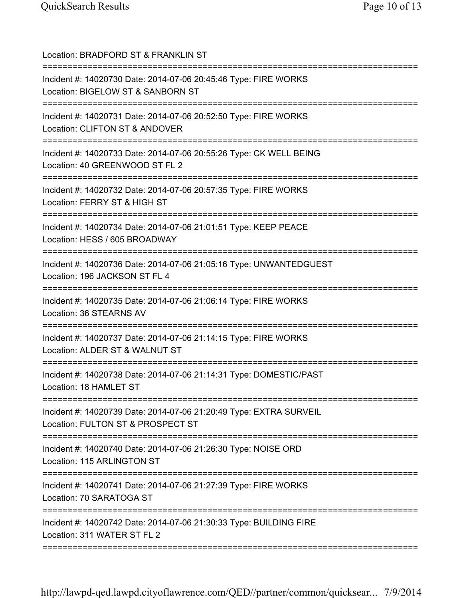| Location: BRADFORD ST & FRANKLIN ST                                                                                                                   |
|-------------------------------------------------------------------------------------------------------------------------------------------------------|
| Incident #: 14020730 Date: 2014-07-06 20:45:46 Type: FIRE WORKS<br>Location: BIGELOW ST & SANBORN ST<br>===================<br>---------------------- |
| Incident #: 14020731 Date: 2014-07-06 20:52:50 Type: FIRE WORKS<br>Location: CLIFTON ST & ANDOVER                                                     |
| Incident #: 14020733 Date: 2014-07-06 20:55:26 Type: CK WELL BEING<br>Location: 40 GREENWOOD ST FL 2                                                  |
| Incident #: 14020732 Date: 2014-07-06 20:57:35 Type: FIRE WORKS<br>Location: FERRY ST & HIGH ST                                                       |
| Incident #: 14020734 Date: 2014-07-06 21:01:51 Type: KEEP PEACE<br>Location: HESS / 605 BROADWAY                                                      |
| Incident #: 14020736 Date: 2014-07-06 21:05:16 Type: UNWANTEDGUEST<br>Location: 196 JACKSON ST FL 4<br>========================                       |
| Incident #: 14020735 Date: 2014-07-06 21:06:14 Type: FIRE WORKS<br>Location: 36 STEARNS AV                                                            |
| Incident #: 14020737 Date: 2014-07-06 21:14:15 Type: FIRE WORKS<br>Location: ALDER ST & WALNUT ST                                                     |
| Incident #: 14020738 Date: 2014-07-06 21:14:31 Type: DOMESTIC/PAST<br>Location: 18 HAMLET ST                                                          |
| Incident #: 14020739 Date: 2014-07-06 21:20:49 Type: EXTRA SURVEIL<br>Location: FULTON ST & PROSPECT ST                                               |
| Incident #: 14020740 Date: 2014-07-06 21:26:30 Type: NOISE ORD<br>Location: 115 ARLINGTON ST                                                          |
| Incident #: 14020741 Date: 2014-07-06 21:27:39 Type: FIRE WORKS<br>Location: 70 SARATOGA ST                                                           |
| Incident #: 14020742 Date: 2014-07-06 21:30:33 Type: BUILDING FIRE<br>Location: 311 WATER ST FL 2                                                     |
|                                                                                                                                                       |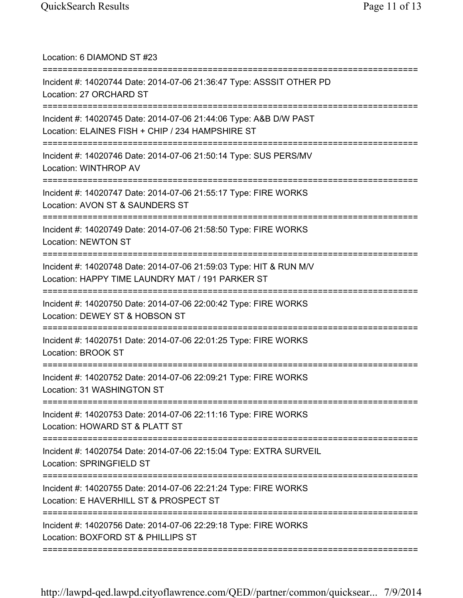| Location: 6 DIAMOND ST #23<br>===================================                                                                                             |
|---------------------------------------------------------------------------------------------------------------------------------------------------------------|
| Incident #: 14020744 Date: 2014-07-06 21:36:47 Type: ASSSIT OTHER PD<br>Location: 27 ORCHARD ST<br>====================                                       |
| Incident #: 14020745 Date: 2014-07-06 21:44:06 Type: A&B D/W PAST<br>Location: ELAINES FISH + CHIP / 234 HAMPSHIRE ST<br>==================================== |
| Incident #: 14020746 Date: 2014-07-06 21:50:14 Type: SUS PERS/MV<br>Location: WINTHROP AV                                                                     |
| Incident #: 14020747 Date: 2014-07-06 21:55:17 Type: FIRE WORKS<br>Location: AVON ST & SAUNDERS ST<br>:============                                           |
| Incident #: 14020749 Date: 2014-07-06 21:58:50 Type: FIRE WORKS<br><b>Location: NEWTON ST</b>                                                                 |
| Incident #: 14020748 Date: 2014-07-06 21:59:03 Type: HIT & RUN M/V<br>Location: HAPPY TIME LAUNDRY MAT / 191 PARKER ST                                        |
| Incident #: 14020750 Date: 2014-07-06 22:00:42 Type: FIRE WORKS<br>Location: DEWEY ST & HOBSON ST                                                             |
| Incident #: 14020751 Date: 2014-07-06 22:01:25 Type: FIRE WORKS<br><b>Location: BROOK ST</b><br>============================                                  |
| Incident #: 14020752 Date: 2014-07-06 22:09:21 Type: FIRE WORKS<br>Location: 31 WASHINGTON ST                                                                 |
| Incident #: 14020753 Date: 2014-07-06 22:11:16 Type: FIRE WORKS<br>Location: HOWARD ST & PLATT ST                                                             |
| Incident #: 14020754 Date: 2014-07-06 22:15:04 Type: EXTRA SURVEIL<br>Location: SPRINGFIELD ST                                                                |
| Incident #: 14020755 Date: 2014-07-06 22:21:24 Type: FIRE WORKS<br>Location: E HAVERHILL ST & PROSPECT ST                                                     |
| Incident #: 14020756 Date: 2014-07-06 22:29:18 Type: FIRE WORKS<br>Location: BOXFORD ST & PHILLIPS ST                                                         |
|                                                                                                                                                               |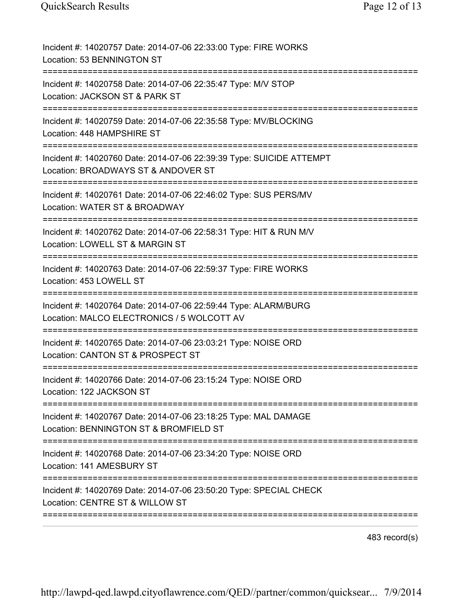| Incident #: 14020757 Date: 2014-07-06 22:33:00 Type: FIRE WORKS<br>Location: 53 BENNINGTON ST                                                    |
|--------------------------------------------------------------------------------------------------------------------------------------------------|
| Incident #: 14020758 Date: 2014-07-06 22:35:47 Type: M/V STOP<br>Location: JACKSON ST & PARK ST                                                  |
| Incident #: 14020759 Date: 2014-07-06 22:35:58 Type: MV/BLOCKING<br>Location: 448 HAMPSHIRE ST                                                   |
| Incident #: 14020760 Date: 2014-07-06 22:39:39 Type: SUICIDE ATTEMPT<br>Location: BROADWAYS ST & ANDOVER ST<br>================================= |
| Incident #: 14020761 Date: 2014-07-06 22:46:02 Type: SUS PERS/MV<br>Location: WATER ST & BROADWAY<br>===========================                 |
| Incident #: 14020762 Date: 2014-07-06 22:58:31 Type: HIT & RUN M/V<br>Location: LOWELL ST & MARGIN ST<br>=========================               |
| Incident #: 14020763 Date: 2014-07-06 22:59:37 Type: FIRE WORKS<br>Location: 453 LOWELL ST                                                       |
| Incident #: 14020764 Date: 2014-07-06 22:59:44 Type: ALARM/BURG<br>Location: MALCO ELECTRONICS / 5 WOLCOTT AV                                    |
| Incident #: 14020765 Date: 2014-07-06 23:03:21 Type: NOISE ORD<br>Location: CANTON ST & PROSPECT ST                                              |
| Incident #: 14020766 Date: 2014-07-06 23:15:24 Type: NOISE ORD<br>Location: 122 JACKSON ST                                                       |
| Incident #: 14020767 Date: 2014-07-06 23:18:25 Type: MAL DAMAGE<br>Location: BENNINGTON ST & BROMFIELD ST                                        |
| Incident #: 14020768 Date: 2014-07-06 23:34:20 Type: NOISE ORD<br>Location: 141 AMESBURY ST                                                      |
| Incident #: 14020769 Date: 2014-07-06 23:50:20 Type: SPECIAL CHECK<br>Location: CENTRE ST & WILLOW ST                                            |
|                                                                                                                                                  |

483 record(s)